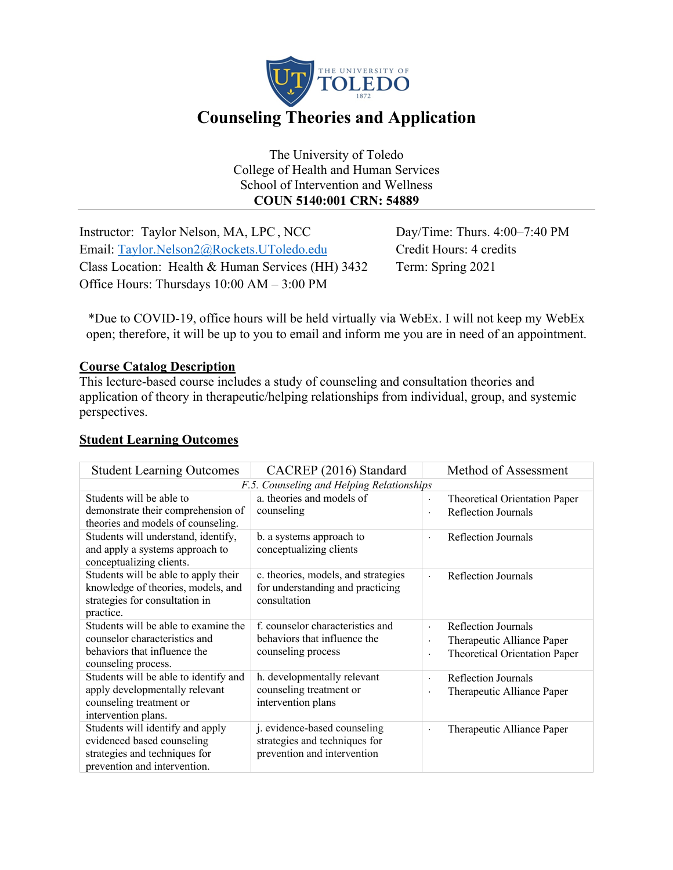

The University of Toledo College of Health and Human Services School of Intervention and Wellness **COUN 5140:001 CRN: 54889**

Instructor: Taylor Nelson, MA, LPC, NCC Day/Time: Thurs. 4:00–7:40 PM Email: Taylor.Nelson2@Rockets.UToledo.edu Credit Hours: 4 credits Class Location: Health & Human Services (HH) 3432 Term: Spring 2021 Office Hours: Thursdays 10:00 AM – 3:00 PM

\*Due to COVID-19, office hours will be held virtually via WebEx. I will not keep my WebEx open; therefore, it will be up to you to email and inform me you are in need of an appointment.

## **Course Catalog Description**

This lecture-based course includes a study of counseling and consultation theories and application of theory in therapeutic/helping relationships from individual, group, and systemic perspectives.

## **Student Learning Outcomes**

| <b>Student Learning Outcomes</b>                                         | CACREP (2016) Standard              | Method of Assessment                                  |                               |
|--------------------------------------------------------------------------|-------------------------------------|-------------------------------------------------------|-------------------------------|
| F.5. Counseling and Helping Relationships                                |                                     |                                                       |                               |
| Students will be able to                                                 | a. theories and models of           | $\bullet$                                             | Theoretical Orientation Paper |
| demonstrate their comprehension of<br>theories and models of counseling. | counseling                          |                                                       | Reflection Journals           |
| Students will understand, identify,                                      | b. a systems approach to            |                                                       | Reflection Journals           |
| and apply a systems approach to                                          | conceptualizing clients             |                                                       |                               |
| conceptualizing clients.                                                 |                                     |                                                       |                               |
| Students will be able to apply their                                     | c. theories, models, and strategies | $\bullet$                                             | Reflection Journals           |
| knowledge of theories, models, and                                       | for understanding and practicing    |                                                       |                               |
| strategies for consultation in                                           | consultation                        |                                                       |                               |
| practice.                                                                |                                     |                                                       |                               |
| Students will be able to examine the                                     | f. counselor characteristics and    | $\ddot{\phantom{0}}$                                  | Reflection Journals           |
| counselor characteristics and                                            | behaviors that influence the        | ٠                                                     | Therapeutic Alliance Paper    |
| behaviors that influence the                                             | counseling process                  | Theoretical Orientation Paper<br>$\ddot{\phantom{0}}$ |                               |
| counseling process.                                                      |                                     |                                                       |                               |
| Students will be able to identify and                                    | h. developmentally relevant         | $\ddot{\phantom{0}}$                                  | Reflection Journals           |
| apply developmentally relevant                                           | counseling treatment or             | Therapeutic Alliance Paper<br>$\ddot{\phantom{0}}$    |                               |
| counseling treatment or                                                  | intervention plans                  |                                                       |                               |
| intervention plans.                                                      |                                     |                                                       |                               |
| Students will identify and apply                                         | j. evidence-based counseling        | $\ddot{\phantom{0}}$                                  | Therapeutic Alliance Paper    |
| evidenced based counseling                                               | strategies and techniques for       |                                                       |                               |
| strategies and techniques for                                            | prevention and intervention         |                                                       |                               |
| prevention and intervention.                                             |                                     |                                                       |                               |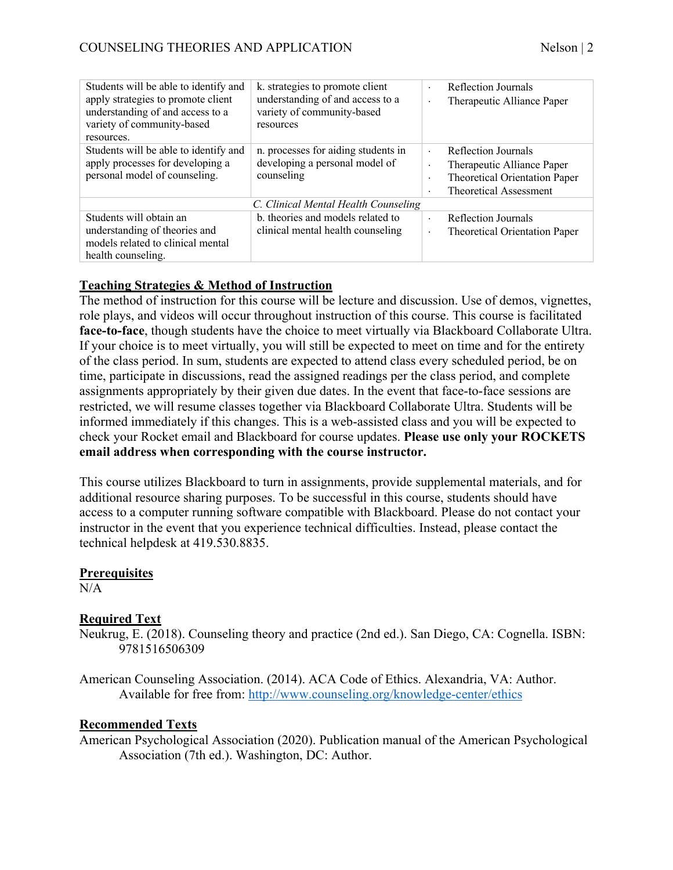| Students will be able to identify and<br>apply strategies to promote client<br>understanding of and access to a<br>variety of community-based<br>resources. | k. strategies to promote client<br>understanding of and access to a<br>variety of community-based<br>resources | Reflection Journals<br>$\cdot$<br>Therapeutic Alliance Paper<br>۰                                                           |  |
|-------------------------------------------------------------------------------------------------------------------------------------------------------------|----------------------------------------------------------------------------------------------------------------|-----------------------------------------------------------------------------------------------------------------------------|--|
| Students will be able to identify and<br>apply processes for developing a<br>personal model of counseling.                                                  | n. processes for aiding students in<br>developing a personal model of<br>counseling                            | Reflection Journals<br>Therapeutic Alliance Paper<br>٠<br>Theoretical Orientation Paper<br>٠<br>Theoretical Assessment<br>٠ |  |
| C. Clinical Mental Health Counseling                                                                                                                        |                                                                                                                |                                                                                                                             |  |
| Students will obtain an<br>understanding of theories and<br>models related to clinical mental<br>health counseling.                                         | b. theories and models related to<br>clinical mental health counseling                                         | Reflection Journals<br>$\cdot$<br>Theoretical Orientation Paper<br>٠                                                        |  |

# **Teaching Strategies & Method of Instruction**

The method of instruction for this course will be lecture and discussion. Use of demos, vignettes, role plays, and videos will occur throughout instruction of this course. This course is facilitated **face-to-face**, though students have the choice to meet virtually via Blackboard Collaborate Ultra. If your choice is to meet virtually, you will still be expected to meet on time and for the entirety of the class period. In sum, students are expected to attend class every scheduled period, be on time, participate in discussions, read the assigned readings per the class period, and complete assignments appropriately by their given due dates. In the event that face-to-face sessions are restricted, we will resume classes together via Blackboard Collaborate Ultra. Students will be informed immediately if this changes. This is a web-assisted class and you will be expected to check your Rocket email and Blackboard for course updates. **Please use only your ROCKETS email address when corresponding with the course instructor.**

This course utilizes Blackboard to turn in assignments, provide supplemental materials, and for additional resource sharing purposes. To be successful in this course, students should have access to a computer running software compatible with Blackboard. Please do not contact your instructor in the event that you experience technical difficulties. Instead, please contact the technical helpdesk at 419.530.8835.

## **Prerequisites**

 $N/A$ 

## **Required Text**

Neukrug, E. (2018). Counseling theory and practice (2nd ed.). San Diego, CA: Cognella. ISBN: 9781516506309

American Counseling Association. (2014). ACA Code of Ethics. Alexandria, VA: Author. Available for free from: http://www.counseling.org/knowledge-center/ethics

## **Recommended Texts**

American Psychological Association (2020). Publication manual of the American Psychological Association (7th ed.). Washington, DC: Author.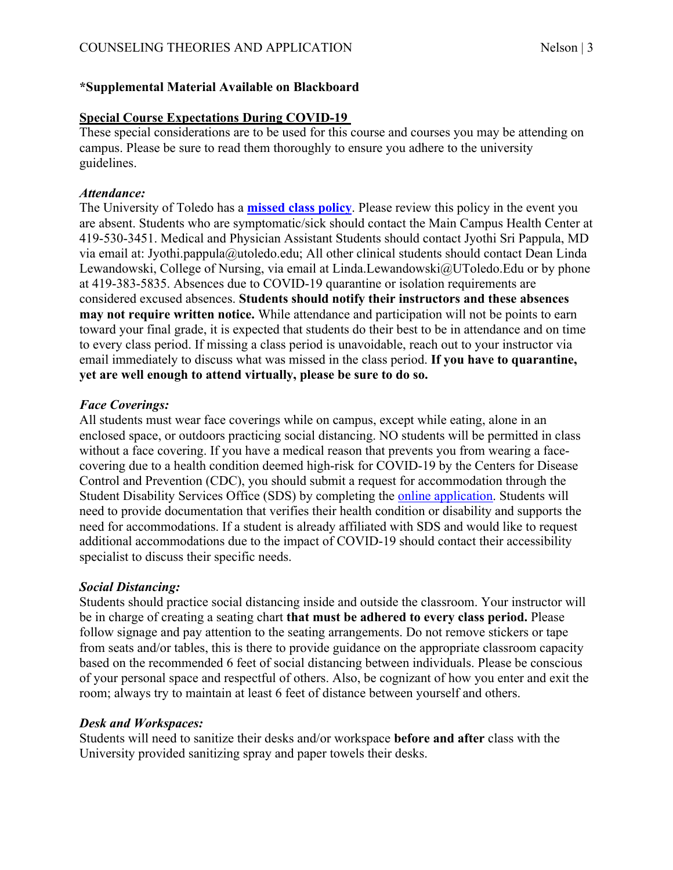## **\*Supplemental Material Available on Blackboard**

#### **Special Course Expectations During COVID-19**

These special considerations are to be used for this course and courses you may be attending on campus. Please be sure to read them thoroughly to ensure you adhere to the university guidelines.

#### *Attendance:*

The University of Toledo has a **missed class policy**. Please review this policy in the event you are absent. Students who are symptomatic/sick should contact the Main Campus Health Center at 419-530-3451. Medical and Physician Assistant Students should contact Jyothi Sri Pappula, MD via email at: Jyothi.pappula@utoledo.edu; All other clinical students should contact Dean Linda Lewandowski, College of Nursing, via email at Linda.Lewandowski@UToledo.Edu or by phone at 419-383-5835. Absences due to COVID-19 quarantine or isolation requirements are considered excused absences. **Students should notify their instructors and these absences may not require written notice.** While attendance and participation will not be points to earn toward your final grade, it is expected that students do their best to be in attendance and on time to every class period. If missing a class period is unavoidable, reach out to your instructor via email immediately to discuss what was missed in the class period. **If you have to quarantine, yet are well enough to attend virtually, please be sure to do so.**

## *Face Coverings:*

All students must wear face coverings while on campus, except while eating, alone in an enclosed space, or outdoors practicing social distancing. NO students will be permitted in class without a face covering. If you have a medical reason that prevents you from wearing a facecovering due to a health condition deemed high-risk for COVID-19 by the Centers for Disease Control and Prevention (CDC), you should submit a request for accommodation through the Student Disability Services Office (SDS) by completing the online application. Students will need to provide documentation that verifies their health condition or disability and supports the need for accommodations. If a student is already affiliated with SDS and would like to request additional accommodations due to the impact of COVID-19 should contact their accessibility specialist to discuss their specific needs.

## *Social Distancing:*

Students should practice social distancing inside and outside the classroom. Your instructor will be in charge of creating a seating chart **that must be adhered to every class period.** Please follow signage and pay attention to the seating arrangements. Do not remove stickers or tape from seats and/or tables, this is there to provide guidance on the appropriate classroom capacity based on the recommended 6 feet of social distancing between individuals. Please be conscious of your personal space and respectful of others. Also, be cognizant of how you enter and exit the room; always try to maintain at least 6 feet of distance between yourself and others.

## *Desk and Workspaces:*

Students will need to sanitize their desks and/or workspace **before and after** class with the University provided sanitizing spray and paper towels their desks.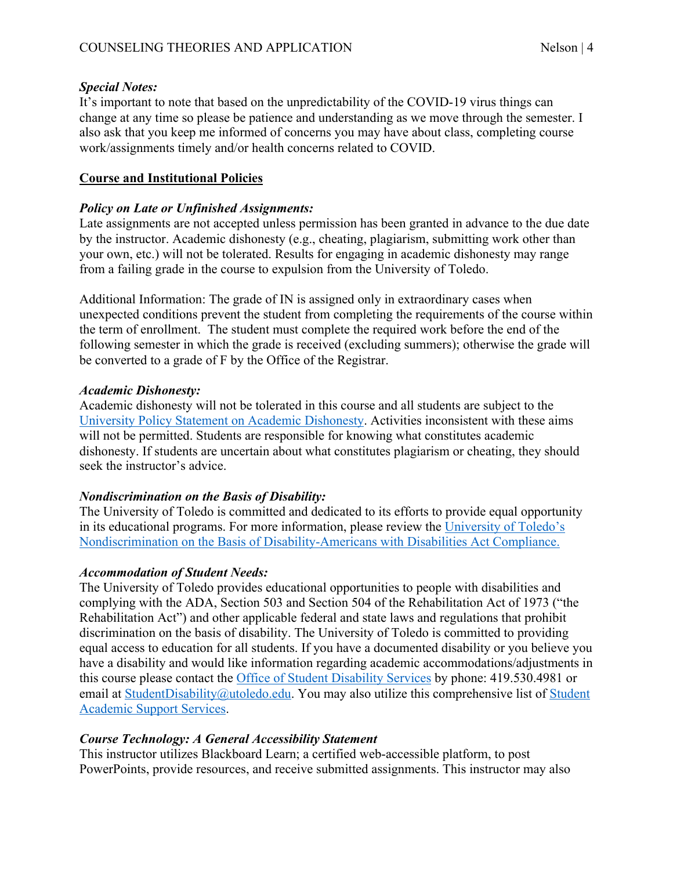#### *Special Notes:*

It's important to note that based on the unpredictability of the COVID-19 virus things can change at any time so please be patience and understanding as we move through the semester. I also ask that you keep me informed of concerns you may have about class, completing course work/assignments timely and/or health concerns related to COVID.

## **Course and Institutional Policies**

#### *Policy on Late or Unfinished Assignments:*

Late assignments are not accepted unless permission has been granted in advance to the due date by the instructor. Academic dishonesty (e.g., cheating, plagiarism, submitting work other than your own, etc.) will not be tolerated. Results for engaging in academic dishonesty may range from a failing grade in the course to expulsion from the University of Toledo.

Additional Information: The grade of IN is assigned only in extraordinary cases when unexpected conditions prevent the student from completing the requirements of the course within the term of enrollment. The student must complete the required work before the end of the following semester in which the grade is received (excluding summers); otherwise the grade will be converted to a grade of F by the Office of the Registrar.

#### *Academic Dishonesty:*

Academic dishonesty will not be tolerated in this course and all students are subject to the University Policy Statement on Academic Dishonesty. Activities inconsistent with these aims will not be permitted. Students are responsible for knowing what constitutes academic dishonesty. If students are uncertain about what constitutes plagiarism or cheating, they should seek the instructor's advice.

#### *Nondiscrimination on the Basis of Disability:*

The University of Toledo is committed and dedicated to its efforts to provide equal opportunity in its educational programs. For more information, please review the University of Toledo's Nondiscrimination on the Basis of Disability-Americans with Disabilities Act Compliance.

## *Accommodation of Student Needs:*

The University of Toledo provides educational opportunities to people with disabilities and complying with the ADA, Section 503 and Section 504 of the Rehabilitation Act of 1973 ("the Rehabilitation Act") and other applicable federal and state laws and regulations that prohibit discrimination on the basis of disability. The University of Toledo is committed to providing equal access to education for all students. If you have a documented disability or you believe you have a disability and would like information regarding academic accommodations/adjustments in this course please contact the Office of Student Disability Services by phone: 419.530.4981 or email at StudentDisability@utoledo.edu. You may also utilize this comprehensive list of Student Academic Support Services.

## *Course Technology: A General Accessibility Statement*

This instructor utilizes Blackboard Learn; a certified web-accessible platform, to post PowerPoints, provide resources, and receive submitted assignments. This instructor may also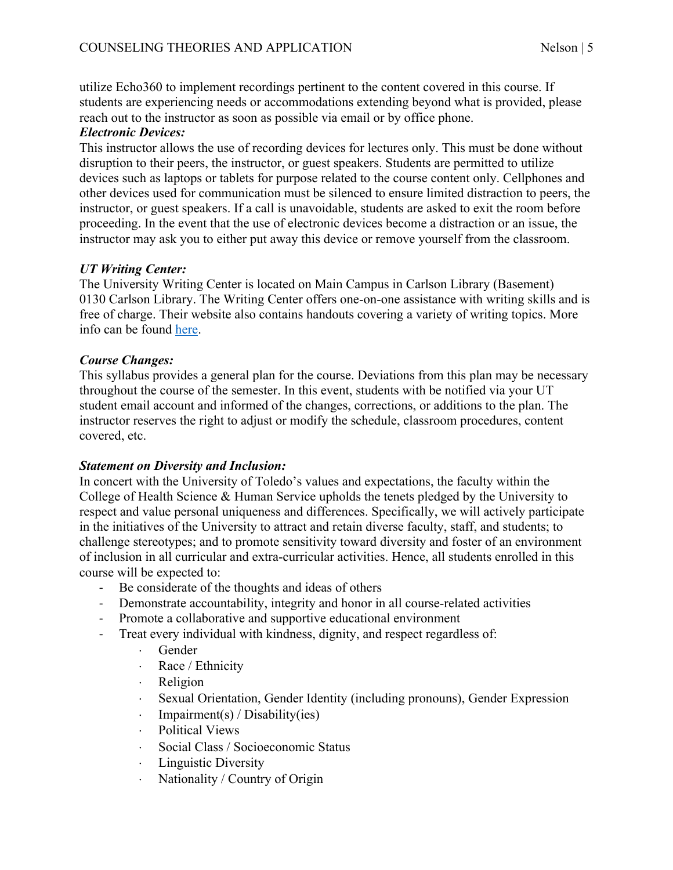utilize Echo360 to implement recordings pertinent to the content covered in this course. If students are experiencing needs or accommodations extending beyond what is provided, please reach out to the instructor as soon as possible via email or by office phone.

#### *Electronic Devices:*

This instructor allows the use of recording devices for lectures only. This must be done without disruption to their peers, the instructor, or guest speakers. Students are permitted to utilize devices such as laptops or tablets for purpose related to the course content only. Cellphones and other devices used for communication must be silenced to ensure limited distraction to peers, the instructor, or guest speakers. If a call is unavoidable, students are asked to exit the room before proceeding. In the event that the use of electronic devices become a distraction or an issue, the instructor may ask you to either put away this device or remove yourself from the classroom.

## *UT Writing Center:*

The University Writing Center is located on Main Campus in Carlson Library (Basement) 0130 Carlson Library. The Writing Center offers one-on-one assistance with writing skills and is free of charge. Their website also contains handouts covering a variety of writing topics. More info can be found here.

## *Course Changes:*

This syllabus provides a general plan for the course. Deviations from this plan may be necessary throughout the course of the semester. In this event, students with be notified via your UT student email account and informed of the changes, corrections, or additions to the plan. The instructor reserves the right to adjust or modify the schedule, classroom procedures, content covered, etc.

## *Statement on Diversity and Inclusion:*

In concert with the University of Toledo's values and expectations, the faculty within the College of Health Science & Human Service upholds the tenets pledged by the University to respect and value personal uniqueness and differences. Specifically, we will actively participate in the initiatives of the University to attract and retain diverse faculty, staff, and students; to challenge stereotypes; and to promote sensitivity toward diversity and foster of an environment of inclusion in all curricular and extra-curricular activities. Hence, all students enrolled in this course will be expected to:

- Be considerate of the thoughts and ideas of others
- Demonstrate accountability, integrity and honor in all course-related activities
- Promote a collaborative and supportive educational environment
- Treat every individual with kindness, dignity, and respect regardless of:
	- **Gender** 
		- · Race / Ethnicity
		- **Religion**
		- Sexual Orientation, Gender Identity (including pronouns), Gender Expression
		- $\cdot$  Impairment(s) / Disability(ies)
		- Political Views
		- × Social Class / Socioeconomic Status
		- Linguistic Diversity
		- Nationality / Country of Origin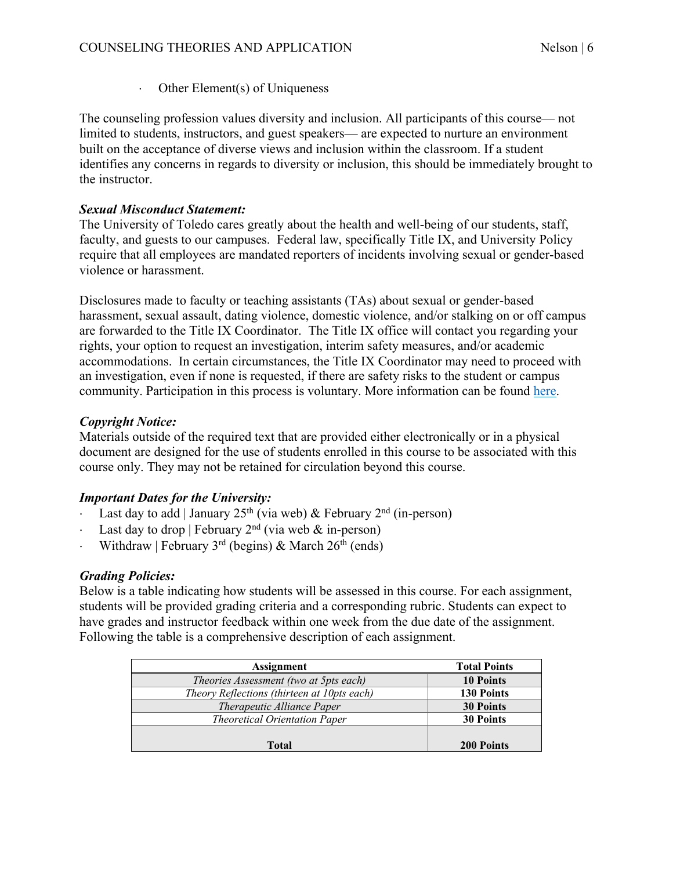$\cdot$  Other Element(s) of Uniqueness

The counseling profession values diversity and inclusion. All participants of this course— not limited to students, instructors, and guest speakers— are expected to nurture an environment built on the acceptance of diverse views and inclusion within the classroom. If a student identifies any concerns in regards to diversity or inclusion, this should be immediately brought to the instructor.

## *Sexual Misconduct Statement:*

The University of Toledo cares greatly about the health and well-being of our students, staff, faculty, and guests to our campuses. Federal law, specifically Title IX, and University Policy require that all employees are mandated reporters of incidents involving sexual or gender-based violence or harassment.

Disclosures made to faculty or teaching assistants (TAs) about sexual or gender-based harassment, sexual assault, dating violence, domestic violence, and/or stalking on or off campus are forwarded to the Title IX Coordinator. The Title IX office will contact you regarding your rights, your option to request an investigation, interim safety measures, and/or academic accommodations. In certain circumstances, the Title IX Coordinator may need to proceed with an investigation, even if none is requested, if there are safety risks to the student or campus community. Participation in this process is voluntary. More information can be found here.

## *Copyright Notice:*

Materials outside of the required text that are provided either electronically or in a physical document are designed for the use of students enrolled in this course to be associated with this course only. They may not be retained for circulation beyond this course.

# *Important Dates for the University:*

- Last day to add | January 25<sup>th</sup> (via web) & February 2<sup>nd</sup> (in-person)
- Last day to drop | February  $2<sup>nd</sup>$  (via web  $\&$  in-person)
- Withdraw | February  $3<sup>rd</sup>$  (begins) & March 26<sup>th</sup> (ends)

# *Grading Policies:*

Below is a table indicating how students will be assessed in this course. For each assignment, students will be provided grading criteria and a corresponding rubric. Students can expect to have grades and instructor feedback within one week from the due date of the assignment. Following the table is a comprehensive description of each assignment.

| <b>Assignment</b>                           | <b>Total Points</b> |
|---------------------------------------------|---------------------|
| Theories Assessment (two at 5pts each)      | <b>10 Points</b>    |
| Theory Reflections (thirteen at 10pts each) | <b>130 Points</b>   |
| Therapeutic Alliance Paper                  | <b>30 Points</b>    |
| <b>Theoretical Orientation Paper</b>        | <b>30 Points</b>    |
|                                             |                     |
| <b>Total</b>                                | <b>200 Points</b>   |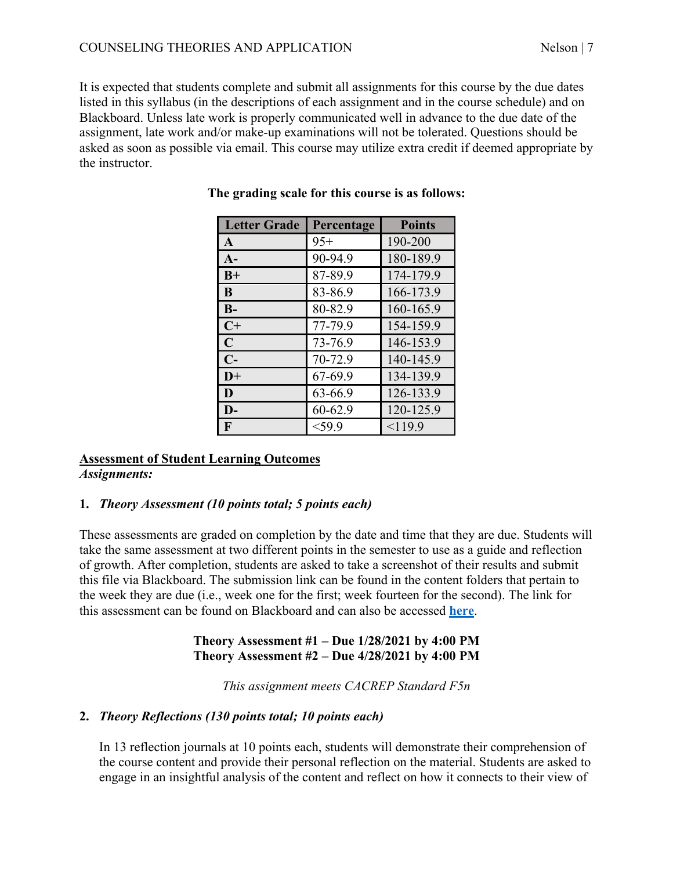It is expected that students complete and submit all assignments for this course by the due dates listed in this syllabus (in the descriptions of each assignment and in the course schedule) and on Blackboard. Unless late work is properly communicated well in advance to the due date of the assignment, late work and/or make-up examinations will not be tolerated. Questions should be asked as soon as possible via email. This course may utilize extra credit if deemed appropriate by the instructor.

| <b>Letter Grade</b> | Percentage | <b>Points</b> |
|---------------------|------------|---------------|
| A                   | $95+$      | 190-200       |
| $A-$                | 90-94.9    | 180-189.9     |
| $B+$                | 87-89.9    | 174-179.9     |
| B                   | 83-86.9    | 166-173.9     |
| $B-$                | 80-82.9    | 160-165.9     |
| $C+$                | 77-79.9    | 154-159.9     |
| $\mathbf C$         | 73-76.9    | 146-153.9     |
| $C-$                | 70-72.9    | 140-145.9     |
| $D+$                | 67-69.9    | 134-139.9     |
| D                   | 63-66.9    | 126-133.9     |
| $\mathbf{D}$        | 60-62.9    | 120-125.9     |
| F                   | $<$ 59.9   | < 119.9       |

## **The grading scale for this course is as follows:**

#### **Assessment of Student Learning Outcomes** *Assignments:*

## **1.** *Theory Assessment (10 points total; 5 points each)*

These assessments are graded on completion by the date and time that they are due. Students will take the same assessment at two different points in the semester to use as a guide and reflection of growth. After completion, students are asked to take a screenshot of their results and submit this file via Blackboard. The submission link can be found in the content folders that pertain to the week they are due (i.e., week one for the first; week fourteen for the second). The link for this assessment can be found on Blackboard and can also be accessed **here**.

#### **Theory Assessment #1 – Due 1/28/2021 by 4:00 PM Theory Assessment #2 – Due 4/28/2021 by 4:00 PM**

*This assignment meets CACREP Standard F5n*

# **2.** *Theory Reflections (130 points total; 10 points each)*

In 13 reflection journals at 10 points each, students will demonstrate their comprehension of the course content and provide their personal reflection on the material. Students are asked to engage in an insightful analysis of the content and reflect on how it connects to their view of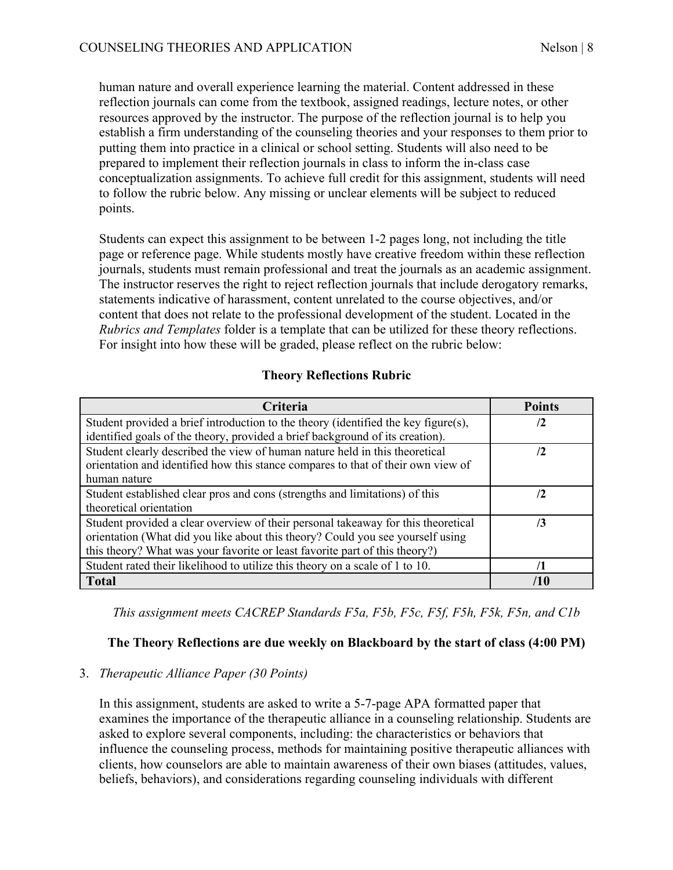human nature and overall experience learning the material. Content addressed in these reflection journals can come from the textbook, assigned readings, lecture notes, or other resources approved by the instructor. The purpose of the reflection journal is to help you establish a firm understanding of the counseling theories and your responses to them prior to putting them into practice in a clinical or school setting. Students will also need to be prepared to implement their reflection journals in class to inform the in-class case conceptualization assignments. To achieve full credit for this assignment, students will need to follow the rubric below. Any missing or unclear elements will be subject to reduced points.

Students can expect this assignment to be between 1-2 pages long, not including the title page or reference page. While students mostly have creative freedom within these reflection journals, students must remain professional and treat the journals as an academic assignment. The instructor reserves the right to reject reflection journals that include derogatory remarks, statements indicative of harassment, content unrelated to the course objectives, and/or content that does not relate to the professional development of the student. Located in the *Rubrics and Templates* folder is a template that can be utilized for these theory reflections. For insight into how these will be graded, please reflect on the rubric below:

## **Theory Reflections Rubric**

| Criteria                                                                           | <b>Points</b>    |
|------------------------------------------------------------------------------------|------------------|
| Student provided a brief introduction to the theory (identified the key figure(s), | <u>7</u>         |
| identified goals of the theory, provided a brief background of its creation).      |                  |
| Student clearly described the view of human nature held in this theoretical        | $\mathbf{r}_2$   |
| orientation and identified how this stance compares to that of their own view of   |                  |
| human nature                                                                       |                  |
| Student established clear pros and cons (strengths and limitations) of this        | $\mathbf{r}_{2}$ |
| theoretical orientation                                                            |                  |
| Student provided a clear overview of their personal takeaway for this theoretical  | 3                |
| orientation (What did you like about this theory? Could you see yourself using     |                  |
| this theory? What was your favorite or least favorite part of this theory?)        |                  |
| Student rated their likelihood to utilize this theory on a scale of 1 to 10.       |                  |
| <b>Total</b>                                                                       | 71 O             |

*This assignment meets CACREP Standards F5a, F5b, F5c, F5f, F5h, F5k, F5n, and C1b*

## **The Theory Reflections are due weekly on Blackboard by the start of class (4:00 PM)**

#### 3. *Therapeutic Alliance Paper (30 Points)*

In this assignment, students are asked to write a 5-7-page APA formatted paper that examines the importance of the therapeutic alliance in a counseling relationship. Students are asked to explore several components, including: the characteristics or behaviors that influence the counseling process, methods for maintaining positive therapeutic alliances with clients, how counselors are able to maintain awareness of their own biases (attitudes, values, beliefs, behaviors), and considerations regarding counseling individuals with different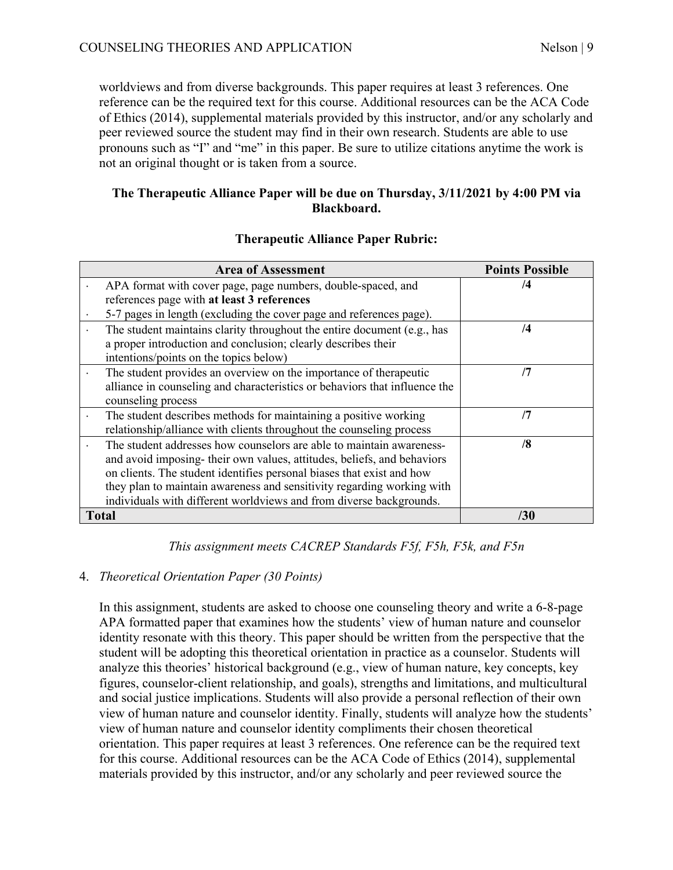worldviews and from diverse backgrounds. This paper requires at least 3 references. One reference can be the required text for this course. Additional resources can be the ACA Code of Ethics (2014), supplemental materials provided by this instructor, and/or any scholarly and peer reviewed source the student may find in their own research. Students are able to use pronouns such as "I" and "me" in this paper. Be sure to utilize citations anytime the work is not an original thought or is taken from a source.

## **The Therapeutic Alliance Paper will be due on Thursday, 3/11/2021 by 4:00 PM via Blackboard.**

| <b>Area of Assessment</b>                                                                                                                                                                                                                                                                                                                                                | <b>Points Possible</b> |
|--------------------------------------------------------------------------------------------------------------------------------------------------------------------------------------------------------------------------------------------------------------------------------------------------------------------------------------------------------------------------|------------------------|
| APA format with cover page, page numbers, double-spaced, and                                                                                                                                                                                                                                                                                                             | $\sqrt{4}$             |
| references page with at least 3 references                                                                                                                                                                                                                                                                                                                               |                        |
| 5-7 pages in length (excluding the cover page and references page).                                                                                                                                                                                                                                                                                                      |                        |
| The student maintains clarity throughout the entire document (e.g., has<br>a proper introduction and conclusion; clearly describes their<br>intentions/points on the topics below)                                                                                                                                                                                       | $\overline{4}$         |
| The student provides an overview on the importance of therapeutic<br>alliance in counseling and characteristics or behaviors that influence the<br>counseling process                                                                                                                                                                                                    | /7                     |
| The student describes methods for maintaining a positive working<br>relationship/alliance with clients throughout the counseling process                                                                                                                                                                                                                                 | /7                     |
| The student addresses how counselors are able to maintain awareness-<br>and avoid imposing-their own values, attitudes, beliefs, and behaviors<br>on clients. The student identifies personal biases that exist and how<br>they plan to maintain awareness and sensitivity regarding working with<br>individuals with different worldviews and from diverse backgrounds. | /8                     |
| <b>Total</b>                                                                                                                                                                                                                                                                                                                                                             | /30                    |

#### **Therapeutic Alliance Paper Rubric:**

*This assignment meets CACREP Standards F5f, F5h, F5k, and F5n*

## 4. *Theoretical Orientation Paper (30 Points)*

In this assignment, students are asked to choose one counseling theory and write a 6-8-page APA formatted paper that examines how the students' view of human nature and counselor identity resonate with this theory. This paper should be written from the perspective that the student will be adopting this theoretical orientation in practice as a counselor. Students will analyze this theories' historical background (e.g., view of human nature, key concepts, key figures, counselor-client relationship, and goals), strengths and limitations, and multicultural and social justice implications. Students will also provide a personal reflection of their own view of human nature and counselor identity. Finally, students will analyze how the students' view of human nature and counselor identity compliments their chosen theoretical orientation. This paper requires at least 3 references. One reference can be the required text for this course. Additional resources can be the ACA Code of Ethics (2014), supplemental materials provided by this instructor, and/or any scholarly and peer reviewed source the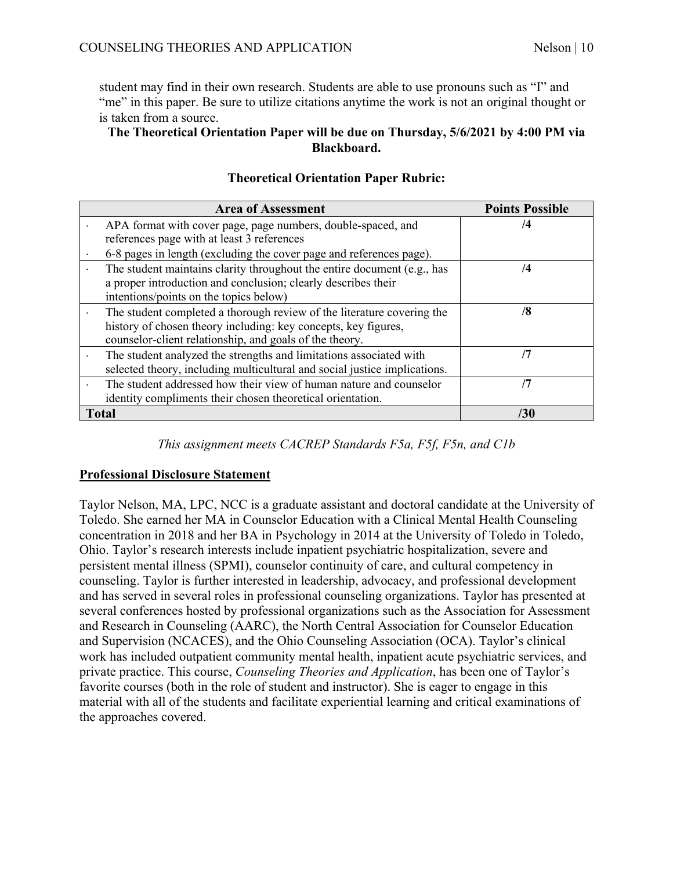student may find in their own research. Students are able to use pronouns such as "I" and "me" in this paper. Be sure to utilize citations anytime the work is not an original thought or is taken from a source.

#### **The Theoretical Orientation Paper will be due on Thursday, 5/6/2021 by 4:00 PM via Blackboard.**

|           | <b>Area of Assessment</b>                                                 | <b>Points Possible</b> |
|-----------|---------------------------------------------------------------------------|------------------------|
|           | APA format with cover page, page numbers, double-spaced, and              | /4                     |
|           | references page with at least 3 references                                |                        |
|           | 6-8 pages in length (excluding the cover page and references page).       |                        |
|           | The student maintains clarity throughout the entire document (e.g., has   | /4                     |
|           | a proper introduction and conclusion; clearly describes their             |                        |
|           | intentions/points on the topics below)                                    |                        |
|           | The student completed a thorough review of the literature covering the    | /8                     |
|           | history of chosen theory including: key concepts, key figures,            |                        |
|           | counselor-client relationship, and goals of the theory.                   |                        |
|           | The student analyzed the strengths and limitations associated with        | 7                      |
|           | selected theory, including multicultural and social justice implications. |                        |
| $\bullet$ | The student addressed how their view of human nature and counselor        | /7                     |
|           | identity compliments their chosen theoretical orientation.                |                        |
|           | <b>Total</b>                                                              | /30                    |

## **Theoretical Orientation Paper Rubric:**

## *This assignment meets CACREP Standards F5a, F5f, F5n, and C1b*

## **Professional Disclosure Statement**

Taylor Nelson, MA, LPC, NCC is a graduate assistant and doctoral candidate at the University of Toledo. She earned her MA in Counselor Education with a Clinical Mental Health Counseling concentration in 2018 and her BA in Psychology in 2014 at the University of Toledo in Toledo, Ohio. Taylor's research interests include inpatient psychiatric hospitalization, severe and persistent mental illness (SPMI), counselor continuity of care, and cultural competency in counseling. Taylor is further interested in leadership, advocacy, and professional development and has served in several roles in professional counseling organizations. Taylor has presented at several conferences hosted by professional organizations such as the Association for Assessment and Research in Counseling (AARC), the North Central Association for Counselor Education and Supervision (NCACES), and the Ohio Counseling Association (OCA). Taylor's clinical work has included outpatient community mental health, inpatient acute psychiatric services, and private practice. This course, *Counseling Theories and Application*, has been one of Taylor's favorite courses (both in the role of student and instructor). She is eager to engage in this material with all of the students and facilitate experiential learning and critical examinations of the approaches covered.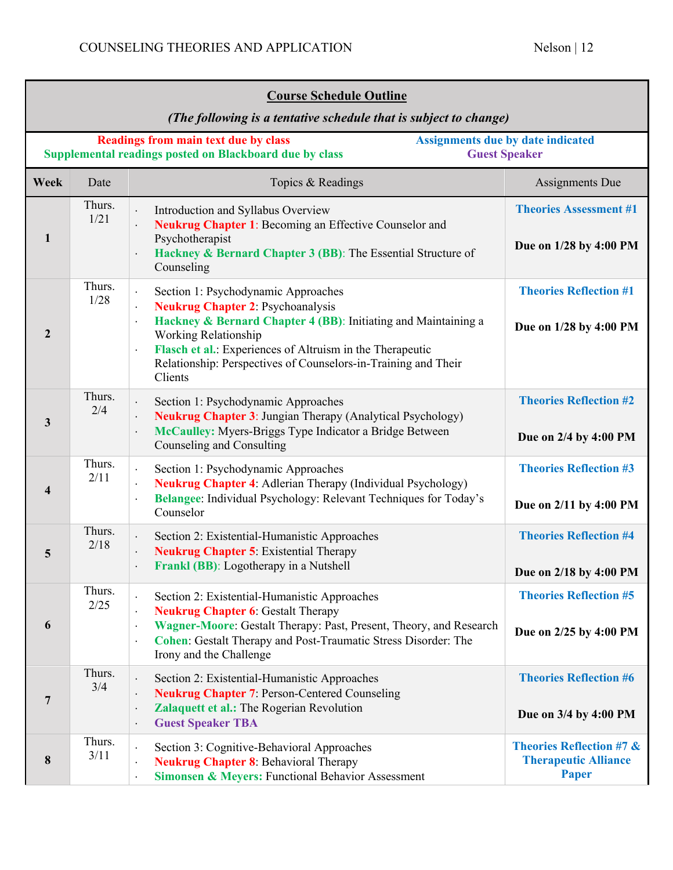| <b>Course Schedule Outline</b><br>(The following is a tentative schedule that is subject to change) |                |                                                                                                                                                                                                                                                                                                                                                                                       |                                                                                    |
|-----------------------------------------------------------------------------------------------------|----------------|---------------------------------------------------------------------------------------------------------------------------------------------------------------------------------------------------------------------------------------------------------------------------------------------------------------------------------------------------------------------------------------|------------------------------------------------------------------------------------|
|                                                                                                     |                | <b>Readings from main text due by class</b><br>Supplemental readings posted on Blackboard due by class                                                                                                                                                                                                                                                                                | <b>Assignments due by date indicated</b><br><b>Guest Speaker</b>                   |
| Week                                                                                                | Date           | Topics & Readings                                                                                                                                                                                                                                                                                                                                                                     | Assignments Due                                                                    |
| 1                                                                                                   | Thurs.<br>1/21 | Introduction and Syllabus Overview<br>$\ddot{\phantom{a}}$<br>Neukrug Chapter 1: Becoming an Effective Counselor and<br>Psychotherapist<br>Hackney & Bernard Chapter 3 (BB): The Essential Structure of<br>Counseling                                                                                                                                                                 | <b>Theories Assessment #1</b><br>Due on 1/28 by 4:00 PM                            |
| $\mathbf{2}$                                                                                        | Thurs.<br>1/28 | Section 1: Psychodynamic Approaches<br>$\ddot{\phantom{a}}$<br><b>Neukrug Chapter 2: Psychoanalysis</b><br>Hackney & Bernard Chapter 4 (BB): Initiating and Maintaining a<br>$\ddot{\phantom{a}}$<br>Working Relationship<br>Flasch et al.: Experiences of Altruism in the Therapeutic<br>$\blacksquare$<br>Relationship: Perspectives of Counselors-in-Training and Their<br>Clients | <b>Theories Reflection #1</b><br>Due on 1/28 by 4:00 PM                            |
| $\mathbf{3}$                                                                                        | Thurs.<br>2/4  | Section 1: Psychodynamic Approaches<br>$\ddot{\phantom{a}}$<br>Neukrug Chapter 3: Jungian Therapy (Analytical Psychology)<br>McCaulley: Myers-Briggs Type Indicator a Bridge Between<br>Counseling and Consulting                                                                                                                                                                     | <b>Theories Reflection #2</b><br>Due on 2/4 by 4:00 PM                             |
| $\overline{\mathbf{4}}$                                                                             | Thurs.<br>2/11 | Section 1: Psychodynamic Approaches<br>$\ddot{\phantom{a}}$<br><b>Neukrug Chapter 4:</b> Adlerian Therapy (Individual Psychology)<br>Belangee: Individual Psychology: Relevant Techniques for Today's<br>$\bullet$<br>Counselor                                                                                                                                                       | <b>Theories Reflection #3</b><br>Due on 2/11 by 4:00 PM                            |
| 5                                                                                                   | Thurs.<br>2/18 | Section 2: Existential-Humanistic Approaches<br><b>Neukrug Chapter 5: Existential Therapy</b><br>Frankl (BB): Logotherapy in a Nutshell<br>$\cdot$                                                                                                                                                                                                                                    | <b>Theories Reflection #4</b><br>Due on 2/18 by 4:00 PM                            |
| 6                                                                                                   | Thurs.<br>2/25 | Section 2: Existential-Humanistic Approaches<br><b>Neukrug Chapter 6: Gestalt Therapy</b><br>$\blacksquare$<br>Wagner-Moore: Gestalt Therapy: Past, Present, Theory, and Research<br>$\bullet$<br>Cohen: Gestalt Therapy and Post-Traumatic Stress Disorder: The<br>$\bullet$<br>Irony and the Challenge                                                                              | <b>Theories Reflection #5</b><br>Due on 2/25 by 4:00 PM                            |
| $7\phantom{.0}$                                                                                     | Thurs.<br>3/4  | Section 2: Existential-Humanistic Approaches<br>$\ddot{\phantom{0}}$<br><b>Neukrug Chapter 7: Person-Centered Counseling</b><br>$\cdot$<br>Zalaquett et al.: The Rogerian Revolution<br>$\cdot$<br><b>Guest Speaker TBA</b><br>$\bullet$                                                                                                                                              | <b>Theories Reflection #6</b><br>Due on 3/4 by 4:00 PM                             |
| 8                                                                                                   | Thurs.<br>3/11 | Section 3: Cognitive-Behavioral Approaches<br>$\cdot$<br><b>Neukrug Chapter 8: Behavioral Therapy</b><br>$\ddot{\phantom{0}}$<br>Simonsen & Meyers: Functional Behavior Assessment<br>$\cdot$                                                                                                                                                                                         | <b>Theories Reflection #7 &amp;</b><br><b>Therapeutic Alliance</b><br><b>Paper</b> |